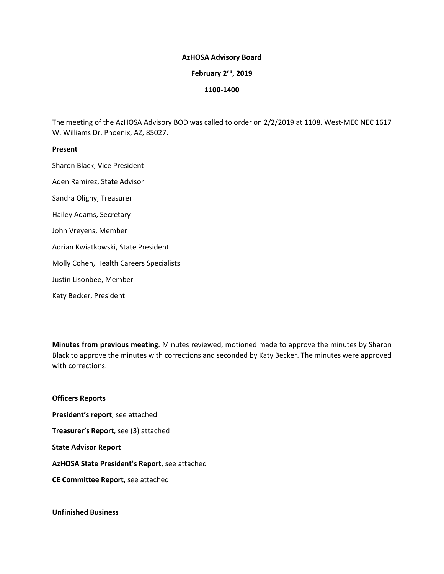### **AzHOSA Advisory Board**

### **February 2nd, 2019**

### **1100-1400**

The meeting of the AzHOSA Advisory BOD was called to order on 2/2/2019 at 1108. West-MEC NEC 1617 W. Williams Dr. Phoenix, AZ, 85027.

### **Present**

Sharon Black, Vice President Aden Ramirez, State Advisor Sandra Oligny, Treasurer Hailey Adams, Secretary John Vreyens, Member Adrian Kwiatkowski, State President Molly Cohen, Health Careers Specialists Justin Lisonbee, Member Katy Becker, President

**Minutes from previous meeting**. Minutes reviewed, motioned made to approve the minutes by Sharon Black to approve the minutes with corrections and seconded by Katy Becker. The minutes were approved with corrections.

**Officers Reports President's report**, see attached **Treasurer's Report**, see (3) attached **State Advisor Report AzHOSA State President's Report**, see attached **CE Committee Report**, see attached

**Unfinished Business**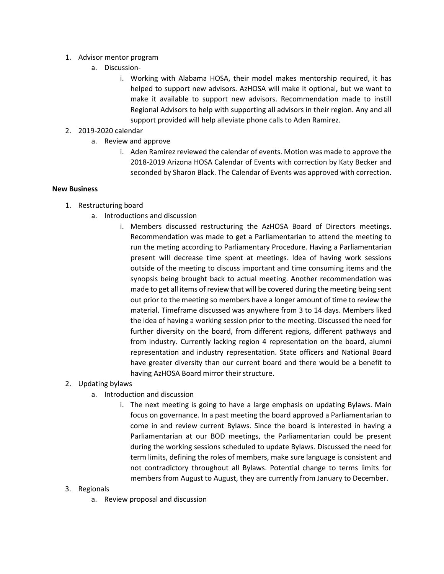- 1. Advisor mentor program
	- a. Discussion
		- i. Working with Alabama HOSA, their model makes mentorship required, it has helped to support new advisors. AzHOSA will make it optional, but we want to make it available to support new advisors. Recommendation made to instill Regional Advisors to help with supporting all advisors in their region. Any and all support provided will help alleviate phone calls to Aden Ramirez.
- 2. 2019-2020 calendar
	- a. Review and approve
		- i. Aden Ramirez reviewed the calendar of events. Motion was made to approve the 2018-2019 Arizona HOSA Calendar of Events with correction by Katy Becker and seconded by Sharon Black. The Calendar of Events was approved with correction.

## **New Business**

- 1. Restructuring board
	- a. Introductions and discussion
		- i. Members discussed restructuring the AzHOSA Board of Directors meetings. Recommendation was made to get a Parliamentarian to attend the meeting to run the meting according to Parliamentary Procedure. Having a Parliamentarian present will decrease time spent at meetings. Idea of having work sessions outside of the meeting to discuss important and time consuming items and the synopsis being brought back to actual meeting. Another recommendation was made to get all items of review that will be covered during the meeting being sent out prior to the meeting so members have a longer amount of time to review the material. Timeframe discussed was anywhere from 3 to 14 days. Members liked the idea of having a working session prior to the meeting. Discussed the need for further diversity on the board, from different regions, different pathways and from industry. Currently lacking region 4 representation on the board, alumni representation and industry representation. State officers and National Board have greater diversity than our current board and there would be a benefit to having AzHOSA Board mirror their structure.

# 2. Updating bylaws

- a. Introduction and discussion
	- i. The next meeting is going to have a large emphasis on updating Bylaws. Main focus on governance. In a past meeting the board approved a Parliamentarian to come in and review current Bylaws. Since the board is interested in having a Parliamentarian at our BOD meetings, the Parliamentarian could be present during the working sessions scheduled to update Bylaws. Discussed the need for term limits, defining the roles of members, make sure language is consistent and not contradictory throughout all Bylaws. Potential change to terms limits for members from August to August, they are currently from January to December.

# 3. Regionals

a. Review proposal and discussion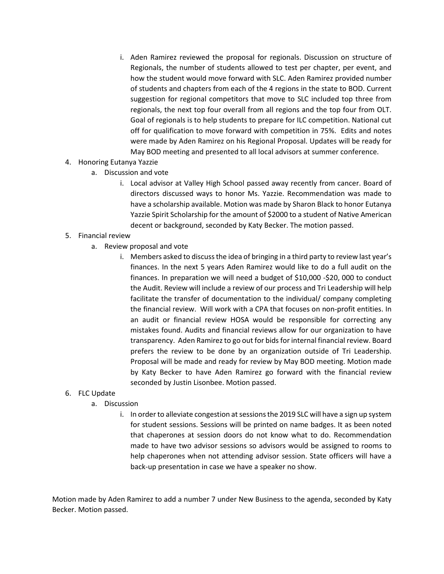- i. Aden Ramirez reviewed the proposal for regionals. Discussion on structure of Regionals, the number of students allowed to test per chapter, per event, and how the student would move forward with SLC. Aden Ramirez provided number of students and chapters from each of the 4 regions in the state to BOD. Current suggestion for regional competitors that move to SLC included top three from regionals, the next top four overall from all regions and the top four from OLT. Goal of regionals is to help students to prepare for ILC competition. National cut off for qualification to move forward with competition in 75%. Edits and notes were made by Aden Ramirez on his Regional Proposal. Updates will be ready for May BOD meeting and presented to all local advisors at summer conference.
- 4. Honoring Eutanya Yazzie
	- a. Discussion and vote
		- i. Local advisor at Valley High School passed away recently from cancer. Board of directors discussed ways to honor Ms. Yazzie. Recommendation was made to have a scholarship available. Motion was made by Sharon Black to honor Eutanya Yazzie Spirit Scholarship for the amount of \$2000 to a student of Native American decent or background, seconded by Katy Becker. The motion passed.
- 5. Financial review
	- a. Review proposal and vote
		- i. Members asked to discuss the idea of bringing in a third party to review last year's finances. In the next 5 years Aden Ramirez would like to do a full audit on the finances. In preparation we will need a budget of \$10,000 -\$20, 000 to conduct the Audit. Review will include a review of our process and Tri Leadership will help facilitate the transfer of documentation to the individual/ company completing the financial review. Will work with a CPA that focuses on non-profit entities. In an audit or financial review HOSA would be responsible for correcting any mistakes found. Audits and financial reviews allow for our organization to have transparency. Aden Ramirez to go out for bids for internal financial review. Board prefers the review to be done by an organization outside of Tri Leadership. Proposal will be made and ready for review by May BOD meeting. Motion made by Katy Becker to have Aden Ramirez go forward with the financial review seconded by Justin Lisonbee. Motion passed.

## 6. FLC Update

- a. Discussion
	- i. In order to alleviate congestion at sessions the 2019 SLC will have a sign up system for student sessions. Sessions will be printed on name badges. It as been noted that chaperones at session doors do not know what to do. Recommendation made to have two advisor sessions so advisors would be assigned to rooms to help chaperones when not attending advisor session. State officers will have a back-up presentation in case we have a speaker no show.

Motion made by Aden Ramirez to add a number 7 under New Business to the agenda, seconded by Katy Becker. Motion passed.